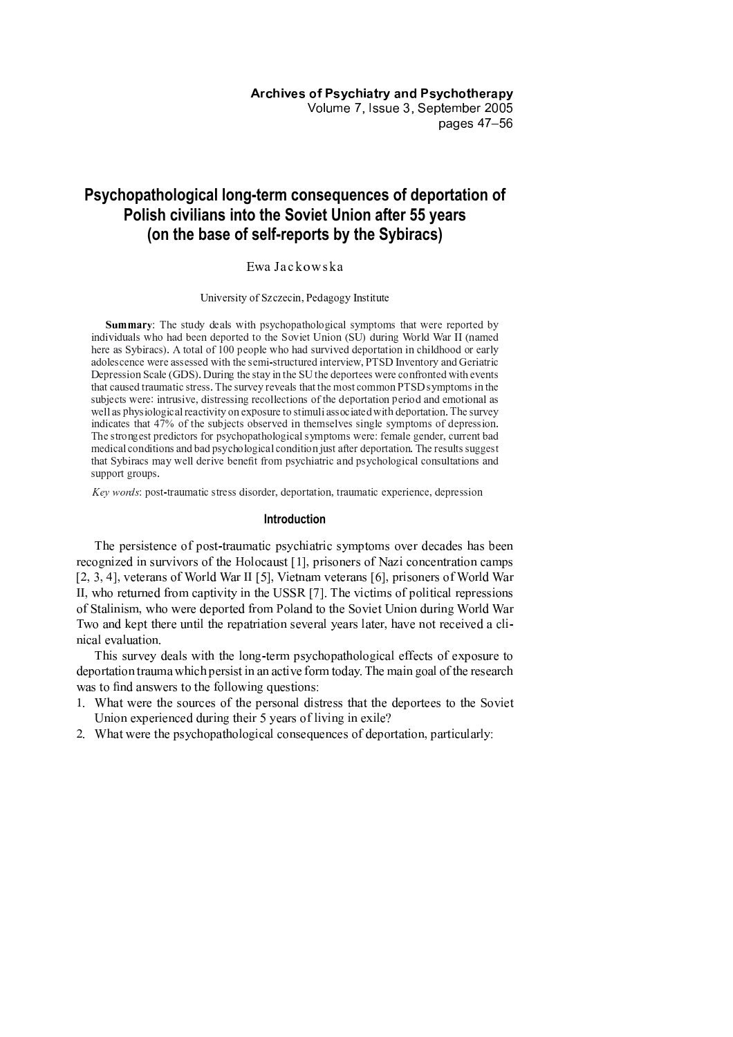# Psychopathological long-term consequences of deportation of Polish civilians into the Soviet Union after 55 years (on the base of self-reports by the Sybiracs)

# EwaJackowska

## University of Szczecin, Pedagogy Institute

**Summary:** The study deals with psychopathological symptoms that were reported by individuals who had been deported to the Soviet Union (SU) during World War II (named here as Sybiracs). A total of 100 people who had survived deportation in childhood or early adolescence were assessed with the semi-structured interview, PTSD Inventory and Geriatric Depression Scale (GDS). During the stay in the SU the deportees were confronted with events that caused traumatic stress. The survey reveals that the most common PTSD symptoms in the subjects were: intrusive, distressing recollections of the deportation period and emotional as well as physiological reactivity on exposure to stimuli associated with deportation. The survey indicates that 47% of the subjects observed in themselves single symptoms of depression. The strongest predictors for psychopathological symptoms were: female gender, current bad medical conditions and bad psychological condition just after deportation. The results suggest that Sybiracs may well derive benefit from psychiatric and psychological consultations and support groups.

Key words: post-traumatic stress disorder, deportation, traumatic experience, depression

# **Introduction**

The persistence of post-traumatic psychiatric symptoms over decades has been recognized in survivors of the Holocaust [1], prisoners of Nazi concentration camps [2, 3, 4], veterans of World War II [5], Vietnam veterans [6], prisoners of World War II, who returned from captivity in the USSR [7]. The victims of political repressions of Stalinism, who were deported from Poland to the Soviet Union during World War Two and kept there until the repatriation several years later, have not received a clinical evaluation.

This survey deals with the long-term psychopathological effects of exposure to deportation trauma which persist in an active form today. The main goal of the research was to find answers to the following questions:

- 1. What were the sources of the personal distress that the deportees to the Soviet Union experienced during their 5 years of living in exile?
- 2. What were the psychopathological consequences of deportation, particularly: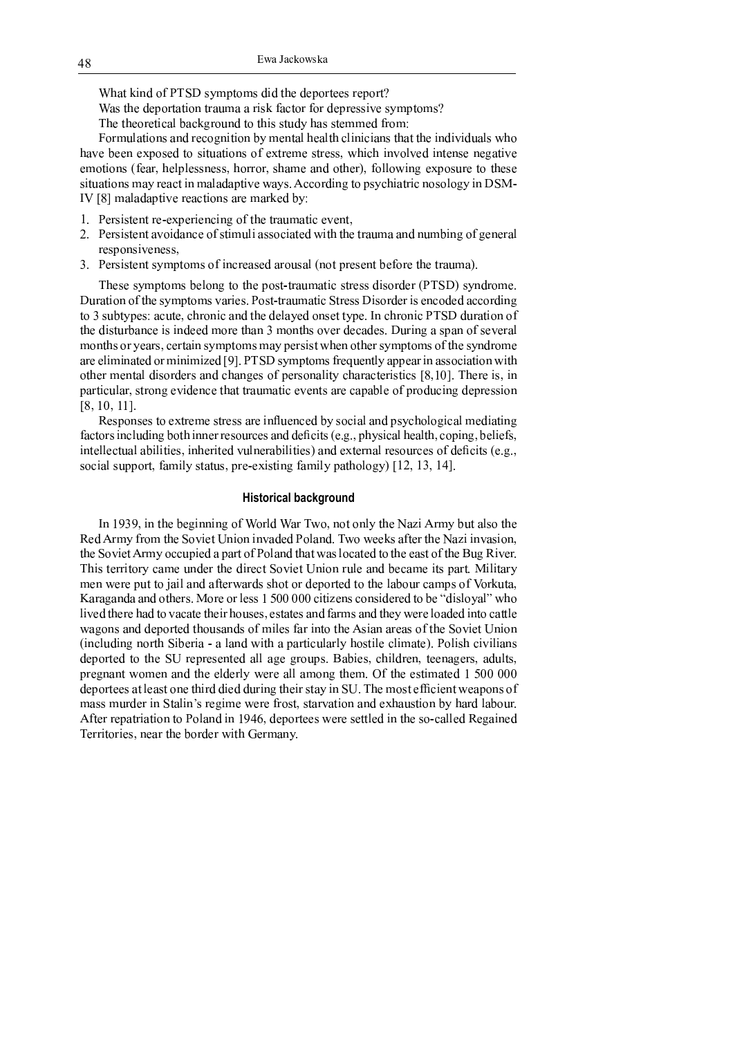What kind of PTSD symptoms did the deportees report?

Was the deportation trauma a risk factor for depressive symptoms?

The theoretical background to this study has stemmed from:

Formulations and recognition by mental health clinicians that the individuals who have been exposed to situations of extreme stress, which involved intense negative emotions (fear, helplessness, horror, shame and other), following exposure to these situations may react in maladaptive ways. According to psychiatric nosology in DSM-IV [8] maladaptive reactions are marked by:

- 1. Persistent re-experiencing of the traumatic event,
- 2. Persistent avoidance of stimuli associated with the trauma and numbing of general responsiveness.
- 3. Persistent symptoms of increased arousal (not present before the trauma).

These symptoms belong to the post-traumatic stress disorder (PTSD) syndrome. Duration of the symptoms varies. Post-traumatic Stress Disorder is encoded according to 3 subtypes: acute, chronic and the delayed onset type. In chronic PTSD duration of the disturbance is indeed more than 3 months over decades. During a span of several months or years, certain symptoms may persist when other symptoms of the syndrome are eliminated or minimized [9]. PTSD symptoms frequently appear in association with other mental disorders and changes of personality characteristics [8,10]. There is, in particular, strong evidence that traumatic events are capable of producing depression  $[8, 10, 11]$ .

Responses to extreme stress are influenced by social and psychological mediating factors including both inner resources and deficits (e.g., physical health, coping, beliefs, intellectual abilities, inherited vulnerabilities) and external resources of deficits (e.g., social support, family status, pre-existing family pathology) [12, 13, 14].

# **Historical background**

In 1939, in the beginning of World War Two, not only the Nazi Army but also the Red Army from the Soviet Union invaded Poland. Two weeks after the Nazi invasion, the Soviet Army occupied a part of Poland that was located to the east of the Bug River. This territory came under the direct Soviet Union rule and became its part. Military men were put to jail and afterwards shot or deported to the labour camps of Vorkuta, Karaganda and others. More or less 1 500 000 citizens considered to be "disloyal" who lived there had to vacate their houses, estates and farms and they were loaded into cattle wagons and deported thousands of miles far into the Asian areas of the Soviet Union (including north Siberia - a land with a particularly hostile climate). Polish civilians deported to the SU represented all age groups. Babies, children, teenagers, adults, pregnant women and the elderly were all among them. Of the estimated 1 500 000 deportees at least one third died during their stay in SU. The most efficient weapons of mass murder in Stalin's regime were frost, starvation and exhaustion by hard labour. After repatriation to Poland in 1946, deportees were settled in the so-called Regained Territories, near the border with Germany.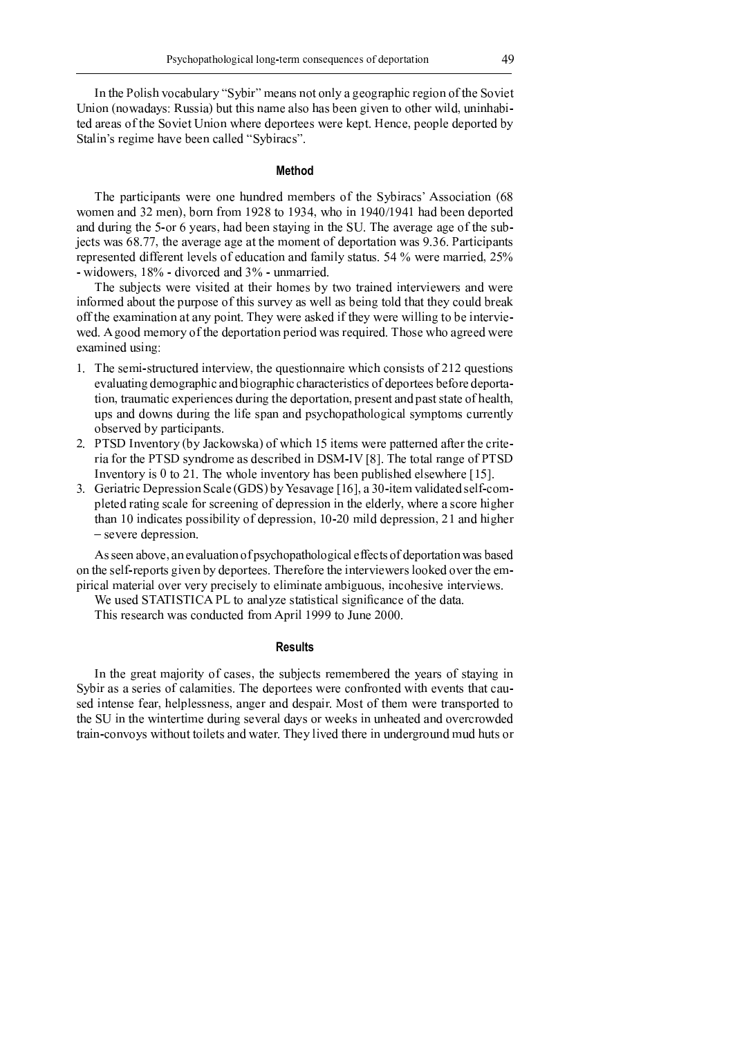In the Polish vocabulary "Sybir" means not only a geographic region of the Soviet Union (nowadays: Russia) but this name also has been given to other wild, uninhabited areas of the Soviet Union where deportees were kept. Hence, people deported by Stalin's regime have been called "Sybiracs".

### **Method**

The participants were one hundred members of the Sybiracs' Association (68) women and 32 men), born from 1928 to 1934, who in 1940/1941 had been deported and during the 5-or 6 years, had been staying in the SU. The average age of the subjects was 68.77, the average age at the moment of deportation was 9.36. Participants represented different levels of education and family status. 54 % were married, 25% - widowers, 18% - divorced and 3% - unmarried.

The subjects were visited at their homes by two trained interviewers and were informed about the purpose of this survey as well as being told that they could break off the examination at any point. They were asked if they were willing to be interviewed. A good memory of the deportation period was required. Those who agreed were examined using:

- 1. The semi-structured interview, the questionnaire which consists of 212 questions evaluating demographic and biographic characteristics of deportees before deportation, traumatic experiences during the deportation, present and past state of health, ups and downs during the life span and psychopathological symptoms currently observed by participants.
- 2. PTSD Inventory (by Jackowska) of which 15 items were patterned after the criteria for the PTSD syndrome as described in DSM-IV [8]. The total range of PTSD Inventory is 0 to 21. The whole inventory has been published elsewhere  $[15]$ .
- 3. Geriatric Depression Scale (GDS) by Yesavage [16], a 30-item validated self-completed rating scale for screening of depression in the elderly, where a score higher than 10 indicates possibility of depression, 10-20 mild depression, 21 and higher  $-$  severe depression.

As seen above, an evaluation of psychopathological effects of deportation was based on the self-reports given by deportees. Therefore the interviewers looked over the empirical material over very precisely to eliminate ambiguous, incohesive interviews.

We used STATISTICA PL to analyze statistical significance of the data.

This research was conducted from April 1999 to June 2000.

# **Results**

In the great majority of cases, the subjects remembered the years of staying in Sybir as a series of calamities. The deportees were confronted with events that caused intense fear, helplessness, anger and despair. Most of them were transported to the SU in the wintertime during several days or weeks in unheated and overcrowded train-convoys without toilets and water. They lived there in underground mud huts or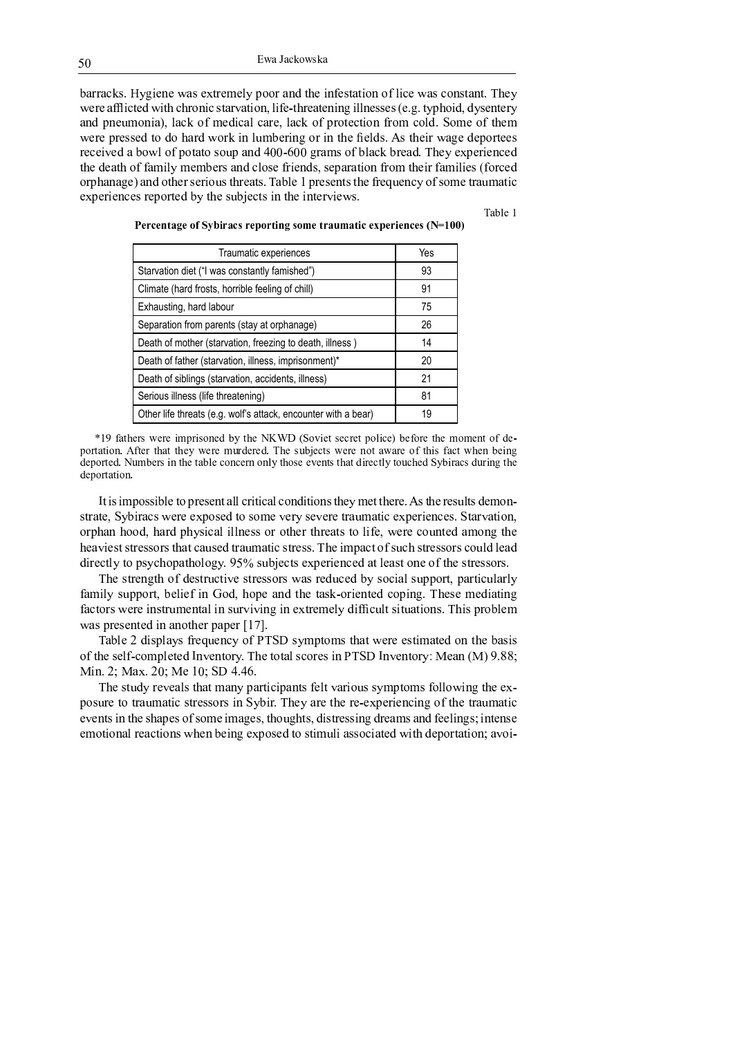barracks. Hygiene was extremely poor and the infestation of lice was constant. They were afflicted with chronic starvation, life-threatening illnesses (e.g. typhoid, dysentery and pneumonia), lack of medical care, lack of protection from cold. Some of them were pressed to do hard work in lumbering or in the fields. As their wage deportees  $\mathcal{M}$  and  $\mathcal{M}$  and  $\mathcal{M}$  and  $\mathcal{M}$  and  $\mathcal{M}$  are  $\mathcal{M}$  . Then the set of  $\mathcal{M}$  and  $\mathcal{M}$  and  $\mathcal{M}$  are  $\mathcal{M}$  and  $\mathcal{M}$  are  $\mathcal{M}$  and  $\mathcal{M}$  and  $\mathcal{M}$  are  $\mathcal{M}$  and  $\mathcal{M}$  are the death of family members and close friends, separation from their families (forced orphanage) and other serious threats. Table 1 presents the frequency of some traumatic experiences reported by the subjects in the interviews.

Table 1

| Traumatic experiences                                          | Yes |
|----------------------------------------------------------------|-----|
| Starvation diet ("I was constantly famished")                  | 93  |
| Climate (hard frosts, horrible feeling of chill)               | 91  |
| Exhausting, hard labour                                        | 75  |
| Separation from parents (stay at orphanage)                    | 26  |
| Death of mother (starvation, freezing to death, illness)       | 14  |
| Death of father (starvation, illness, imprisonment)*           | 20  |
| Death of siblings (starvation, accidents, illness)             | 21  |
| Serious illness (life threatening)                             | 81  |
| Other life threats (e.g. wolf's attack, encounter with a bear) | 19  |

Percentage of Sybiracs reporting some traumatic experiences  $(N=100)$ 

 <sup>v</sup> <sup>C</sup> <sup>u</sup> <sup>H</sup> <sup>B</sup> <sup>u</sup> <sup>u</sup> <sup>H</sup> <sup>G</sup> <sup>u</sup> <sup>s</sup> <sup>u</sup> ¡ <sup>G</sup> ¢ <sup>u</sup> <sup>H</sup> <sup>u</sup> <sup>E</sup> <sup>u</sup> <sup>G</sup> <sup>t</sup> <sup>E</sup> <sup>u</sup> £ <sup>s</sup> <sup>u</sup> <sup>G</sup> <sup>u</sup> <sup>u</sup> <sup>G</sup> <sup>u</sup> <sup>G</sup> <sup>u</sup> ¤ portation. After that they were murdered. The subjects were not aware of this fact when being deported. Numbers in the table concern only those events that directly touched Sybiracs during the deportation.

<sup>ª</sup> <sup>Z</sup> <sup>U</sup> <sup>P</sup> <sup>U</sup> [ ] ^ <sup>P</sup> <sup>P</sup> <sup>U</sup> <sup>K</sup> \ <sup>V</sup> <sup>Z</sup> ^ ] <sup>M</sup> <sup>V</sup> <sup>P</sup> <sup>V</sup> <sup>W</sup> <sup>Z</sup> <sup>L</sup> \ \ <sup>N</sup> <sup>M</sup> <sup>U</sup> <sup>Z</sup> <sup>U</sup> <sup>N</sup> <sup>L</sup> \ <sup>N</sup> ^ <sup>W</sup> \_ <sup>U</sup> <sup>Z</sup> <sup>U</sup> ^ <sup>W</sup> <sup>P</sup> <sup>Z</sup> ` <sup>V</sup> <sup>S</sup> [ <sup>V</sup> <sup>Z</sup> <sup>Z</sup> ` <sup>V</sup> <sup>M</sup> <sup>V</sup> <sup>Q</sup> <sup>l</sup> <sup>P</sup> <sup>Z</sup> ` <sup>V</sup> <sup>M</sup> <sup>V</sup> <sup>P</sup> <sup>h</sup> \ <sup>Z</sup> <sup>P</sup> \_ <sup>V</sup> [ ^ <sup>W</sup> <sup>f</sup> strate, Sybiracs were exposed to some very severe traumatic experiences. Starvation, orphan hood, hard physical illness or other threats to life, were counted among the heaviest stressors that caused traumatic stress. The impact of such stressors could lead  $\mathcal{U}$  , and the set of the set of the set of the set of the set of the set of the set of the set of the set of the set of the set of the set of the set of the set of the set of the set of the set of the set of the set

The strength of destructive stressors was reduced by social support, particularly family support, belief in God, hope and the task-oriented coping. These mediating factors were instrumental in surviving in extremely difficult situations. This problem was presented in another paper  $[17]$ .

Table 2 displays frequency of PTSD symptoms that were estimated on the basis ع على الله عليه التي تسابق السابق التي تعليم الله عليه التي تعليم التي تعليم التي تعليم التي تعليم التي تعليم ا<br>وقال التي تعليم التي تعليم التي تعليم التي تعليم التي تعليم التي تعليم التي تعليم التي تعليم التي تعليم التي <sup>µ</sup> <sup>U</sup> <sup>W</sup> <sup>Q</sup> <sup>±</sup> · <sup>µ</sup> <sup>L</sup> <sup>Y</sup> <sup>Q</sup> <sup>±</sup> <sup>J</sup> · <sup>µ</sup> <sup>V</sup> <sup>o</sup> <sup>J</sup> · <sup>j</sup> <sup>³</sup> <sup>m</sup> Q m <sup>n</sup> <sup>Q</sup>

The study reveals that many participants felt various symptoms following the exposure to traumatic stressors in Sybir. They are the re-experiencing of the traumatic events in the shapes of some images, thoughts, distressing dreams and feelings; intense emotional reactions when being exposed to stimuli associated with deportation; avoi-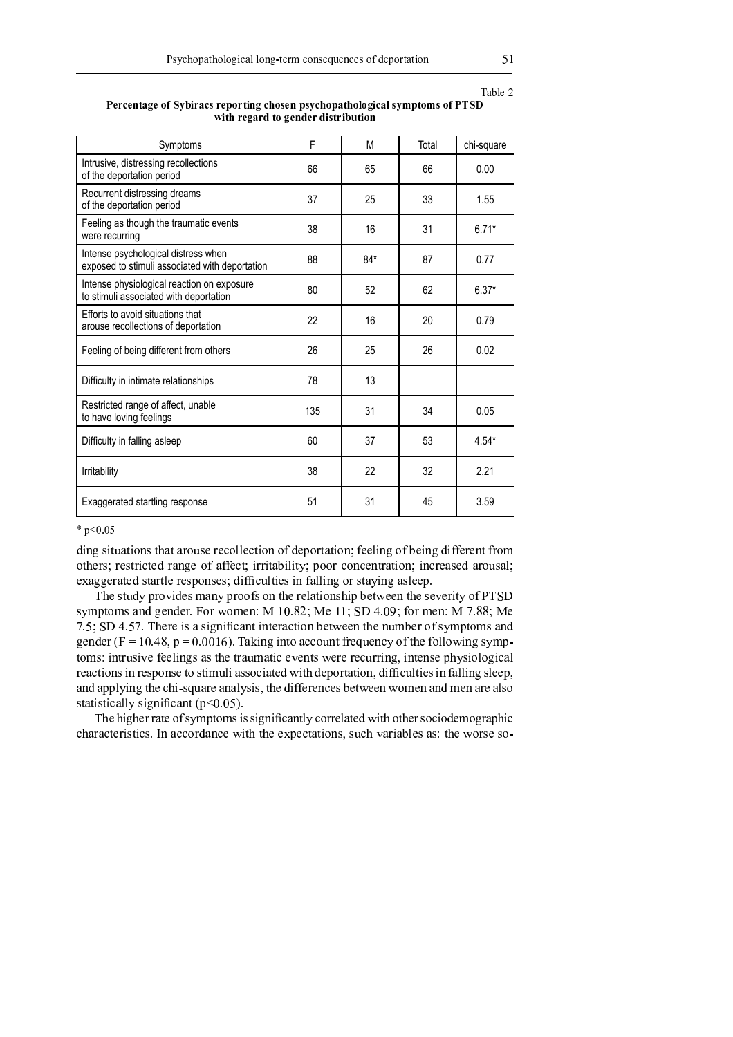Table 2

| Percentage of Sybiracs reporting chosen psychopathological symptoms of PTSD |                                    |  |
|-----------------------------------------------------------------------------|------------------------------------|--|
|                                                                             | with regard to gender distribution |  |

| Symptoms                                                                              | F   | M     | Total | chi-square |
|---------------------------------------------------------------------------------------|-----|-------|-------|------------|
| Intrusive, distressing recollections<br>of the deportation period                     | 66  | 65    | 66    | 0.00       |
| Recurrent distressing dreams<br>of the deportation period                             | 37  | 25    | 33    | 1.55       |
| Feeling as though the traumatic events<br>were recurring                              | 38  | 16    | 31    | $6.71*$    |
| Intense psychological distress when<br>exposed to stimuli associated with deportation | 88  | $84*$ | 87    | 0.77       |
| Intense physiological reaction on exposure<br>to stimuli associated with deportation  | 80  | 52    | 62    | $6.37*$    |
| Efforts to avoid situations that<br>arouse recollections of deportation               | 22  | 16    | 20    | 0.79       |
| Feeling of being different from others                                                | 26  | 25    | 26    | 0.02       |
| Difficulty in intimate relationships                                                  | 78  | 13    |       |            |
| Restricted range of affect, unable<br>to have loving feelings                         | 135 | 31    | 34    | 0.05       |
| Difficulty in falling asleep                                                          | 60  | 37    | 53    | $4.54*$    |
| Irritability                                                                          | 38  | 22    | 32    | 2.21       |
| Exaggerated startling response                                                        | 51  | 31    | 45    | 3.59       |

#### <sup>À</sup>

ding situations that arouse recollection of deportation; feeling of being different from others; restricted range of affect; irritability; poor concentration; increased arousal; exaggerated startle responses; difficulties in falling or staying asleep.

æ i visto de state af de state de state de state de state de state de state de state de la de state de state d s i vez e santala de an aminaala la deuse d ææææ <sup>Ò</sup> <sup>Ú</sup> <sup>Ñ</sup> <sup>Ï</sup> <sup>Ú</sup> <sup>Ù</sup> <sup>õ</sup> <sup>ì</sup> <sup>ö</sup> <sup>¹</sup> <sup>ï</sup> <sup>å</sup> <sup>ò</sup> <sup>ð</sup> <sup>÷</sup> <sup>Þ</sup> <sup>ö</sup> <sup>ï</sup> <sup>å</sup> <sup>ï</sup> <sup>ï</sup> <sup>¹</sup> <sup>ø</sup> <sup>ù</sup> <sup>å</sup> <sup>æ</sup> <sup>Ö</sup> <sup>ú</sup> <sup>Ð</sup> <sup>Ñ</sup> <sup>Ò</sup> <sup>Ð</sup> <sup>Ñ</sup> <sup>Ô</sup> <sup>×</sup> <sup>Ö</sup> <sup>Û</sup> <sup>Û</sup> <sup>×</sup> <sup>Õ</sup> <sup>Ñ</sup> <sup>Ô</sup> <sup>Ý</sup> <sup>Ù</sup> <sup>Ú</sup> <sup>û</sup> <sup>Õ</sup> <sup>Ú</sup> <sup>Ñ</sup> <sup>Û</sup> <sup>â</sup> <sup>×</sup> <sup>Ý</sup> <sup>Ô</sup> <sup>Ø</sup> <sup>Ú</sup> <sup>Ý</sup> <sup>×</sup> <sup>Ü</sup> <sup>Ü</sup> <sup>×</sup> <sup>è</sup> <sup>Ð</sup> <sup>Ñ</sup> <sup>Ò</sup> <sup>Ó</sup> <sup>â</sup> <sup>á</sup> <sup>Þ</sup> <sup>ü</sup> toms: intrusive feelings as the traumatic events were recurring, intense physiological reactions in response to stimuli associated with deportation, difficulties in falling sleep, and applying the chi-square analysis, the differences between women and men are also <sup>Ó</sup> <sup>Ô</sup> <sup>Ö</sup> <sup>Ô</sup> <sup>Ð</sup> <sup>Ó</sup> <sup>Ô</sup> <sup>Ð</sup> <sup>Û</sup> <sup>Ö</sup> <sup>Ü</sup> <sup>Ü</sup> <sup>â</sup> <sup>Ó</sup> <sup>Ð</sup> <sup>Ò</sup> <sup>Ñ</sup> <sup>Ð</sup> <sup>ä</sup> <sup>Û</sup> <sup>Ö</sup> <sup>Ñ</sup> <sup>Ô</sup> <sup>õ</sup> <sup>Þ</sup> <sup>ý</sup> <sup>ï</sup> <sup>å</sup> <sup>ï</sup> ¸ <sup>ù</sup> <sup>å</sup>

<sup>æ</sup> <sup>Ø</sup> <sup>Ú</sup> <sup>Ø</sup> <sup>Ð</sup> <sup>Ò</sup> <sup>Ø</sup> <sup>Ú</sup> <sup>Ù</sup> <sup>Ù</sup> <sup>Ö</sup> <sup>Ô</sup> <sup>Ú</sup> <sup>×</sup> <sup>Ý</sup> <sup>Ó</sup> <sup>â</sup> <sup>á</sup> <sup>Þ</sup> <sup>Ô</sup> <sup>×</sup> <sup>á</sup> <sup>Ó</sup> <sup>Ð</sup> <sup>Ó</sup> <sup>Ó</sup> <sup>Ð</sup> <sup>Ò</sup> <sup>Ñ</sup> <sup>Ð</sup> <sup>ä</sup> <sup>Û</sup> <sup>Ö</sup> <sup>Ñ</sup> <sup>Ô</sup> <sup>Ü</sup> <sup>â</sup> <sup>Û</sup> <sup>×</sup> <sup>Ù</sup> <sup>Ù</sup> <sup>Ú</sup> <sup>Ü</sup> <sup>Ö</sup> <sup>Ô</sup> <sup>Ú</sup> <sup>Ï</sup> <sup>è</sup> <sup>Ð</sup> <sup>Ô</sup> <sup>Ø</sup> <sup>×</sup> <sup>Ô</sup> <sup>Ø</sup> <sup>Ú</sup> <sup>Ù</sup> <sup>Ó</sup> <sup>×</sup> <sup>Û</sup> <sup>Ð</sup> <sup>×</sup> <sup>Ï</sup> <sup>Ú</sup> <sup>á</sup> <sup>×</sup> <sup>Ò</sup> <sup>Ù</sup> <sup>Ö</sup> <sup>Þ</sup> <sup>Ø</sup> <sup>Ð</sup> <sup>Û</sup> characteristics. In accordance with the expectations, such variables as: the worse so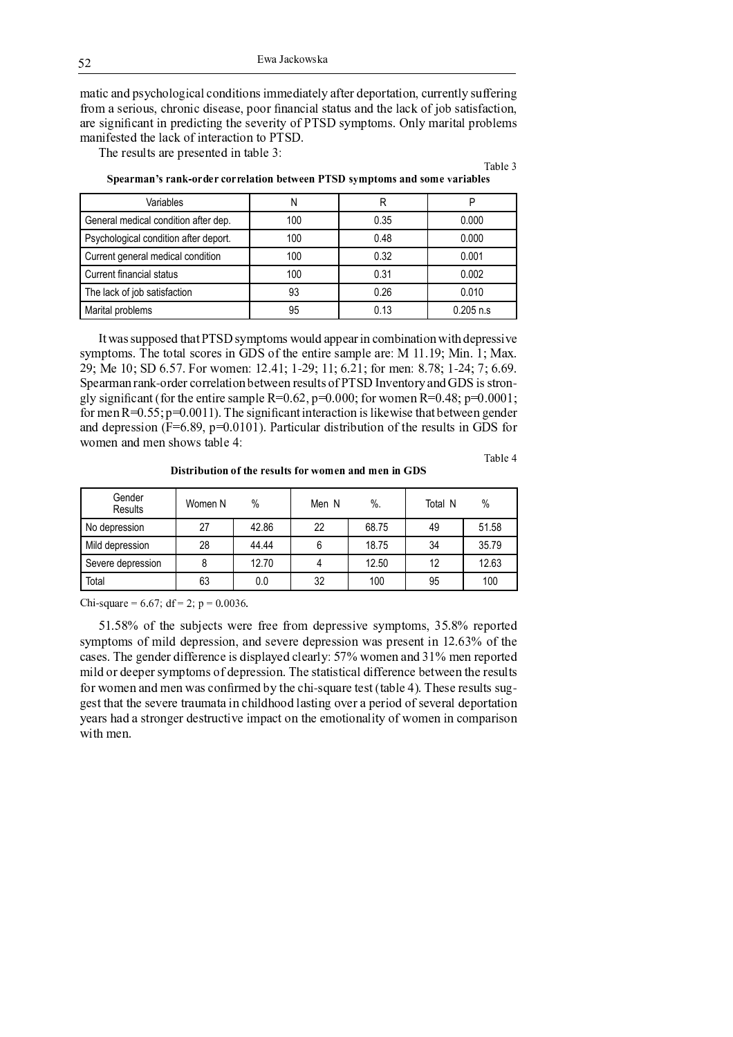Ewa Jackowska

matic and psychological conditions immediately after deportation, currently suffering from a serious, chronic disease, poor financial status and the lack of job satisfaction, are significant in predicting the severity of PTSD symptoms. Only marital problems manifested the lack of interaction to PTSD.

The results are presented in table 3:

Table 3

| Variables                             |     | R    | D            |
|---------------------------------------|-----|------|--------------|
| General medical condition after dep.  | 100 | 0.35 | 0.000        |
| Psychological condition after deport. | 100 | 0.48 | 0.000        |
| Current general medical condition     | 100 | 0.32 | 0.001        |
| Current financial status              | 100 | 0.31 | 0.002        |
| The lack of job satisfaction          | 93  | 0.26 | 0.010        |
| Marital problems                      | 95  | 0.13 | $0.205$ n.s. |

Spearman's rank-order correlation between PTSD symptoms and some variables

It was supposed that PTSD symptoms would appear in combination with depressive symptoms. The total scores in GDS of the entire sample are: M 11.19; Min. 1; Max. 29; Me 10; SD 6.57. For women: 12.41; 1-29; 11; 6.21; for men: 8.78; 1-24; 7; 6.69. Spearman rank-order correlation between results of PTSD Inventory and GDS is strongly significant (for the entire sample R=0.62, p=0.000; for women R=0.48; p=0.0001; for men  $R=0.55$ ;  $p=0.0011$ ). The significant interaction is likewise that between gender and depression ( $F=6.89$ ,  $p=0.0101$ ). Particular distribution of the results in GDS for women and men shows table 4:

Table 4

Distribution of the results for women and men in GDS

| Gender<br>Results | Women N | $\%$  | Men N | $\%$ . | Total N | $\%$  |
|-------------------|---------|-------|-------|--------|---------|-------|
| No depression     | 27      | 42.86 | 22    | 68.75  | 49      | 51.58 |
| Mild depression   | 28      | 44.44 |       | 18.75  | 34      | 35.79 |
| Severe depression |         | 12.70 |       | 12.50  | 12      | 12.63 |
| Total             | 63      | 0.0   | 32    | 100    | 95      | 100   |

Chi-square = 6.67; df = 2; p = 0.0036.

51.58% of the subjects were free from depressive symptoms, 35.8% reported symptoms of mild depression, and severe depression was present in 12.63% of the cases. The gender difference is displayed clearly: 57% women and 31% men reported mild or deeper symptoms of depression. The statistical difference between the results for women and men was confirmed by the chi-square test (table 4). These results suggest that the severe traumata in childhood lasting over a period of several deportation years had a stronger destructive impact on the emotionality of women in comparison with men.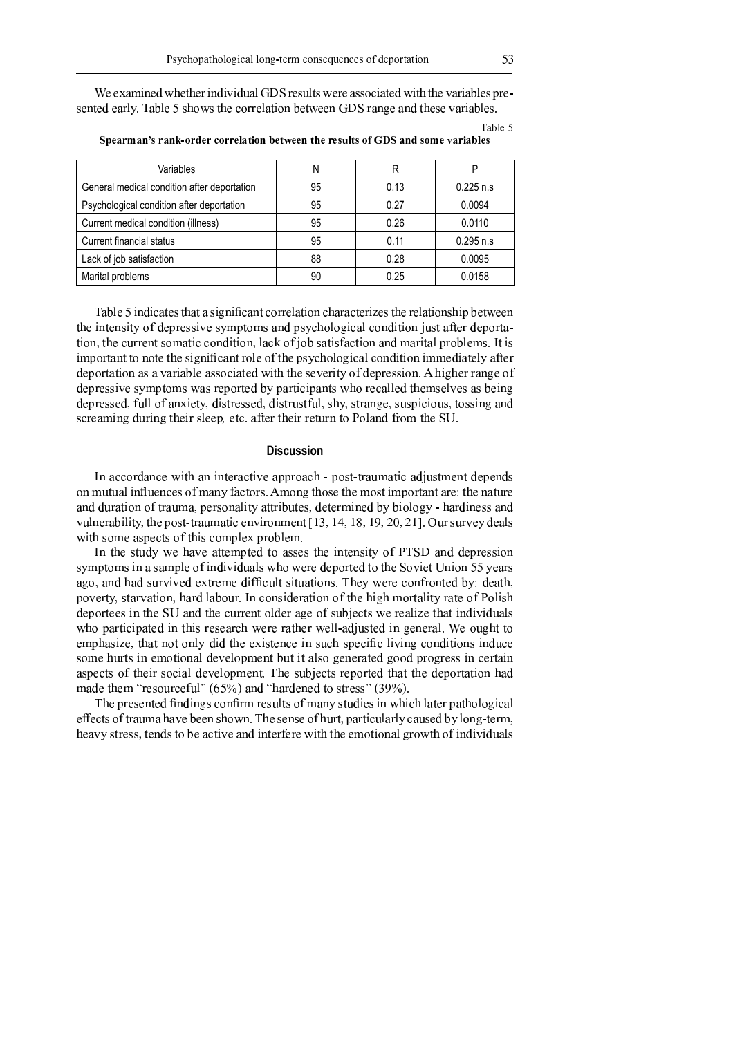We examined whether individual GDS results were associated with the variables presented early. Table 5 shows the correlation between GDS range and these variables.

| Variables                                   | Ν  | R    | Р            |
|---------------------------------------------|----|------|--------------|
| General medical condition after deportation | 95 | 0.13 | $0.225$ n.s. |
| Psychological condition after deportation   | 95 | 0.27 | 0.0094       |
| Current medical condition (illness)         | 95 | 0.26 | 0.0110       |
| Current financial status                    | 95 | 0.11 | $0.295$ n.s  |
| Lack of job satisfaction                    | 88 | 0.28 | 0.0095       |
| Marital problems                            | 90 | 0.25 | 0.0158       |

Spearman's rank-order correlation between the results of GDS and some variables

Table 5 indicates that a significant correlation characterizes the relationship between the intensity of depressive symptoms and psychological condition just after deportation, the current somatic condition, lack of job satisfaction and marital problems. It is important to note the significant role of the psychological condition immediately after deportation as a variable associated with the severity of depression. A higher range of depressive symptoms was reported by participants who recalled themselves as being depressed, full of anxiety, distressed, distrustful, shy, strange, suspicious, tossing and screaming during their sleep, etc. after their return to Poland from the SU.

# **Discussion**

In accordance with an interactive approach - post-traumatic adjustment depends on mutual influences of many factors. Among those the most important are: the nature and duration of trauma, personality attributes, determined by biology - hardiness and vulnerability, the post-traumatic environment [13, 14, 18, 19, 20, 21]. Our survey deals with some aspects of this complex problem.

In the study we have attempted to asses the intensity of PTSD and depression symptoms in a sample of individuals who were deported to the Soviet Union 55 years ago, and had survived extreme difficult situations. They were confronted by: death, poverty, starvation, hard labour. In consideration of the high mortality rate of Polish deportees in the SU and the current older age of subjects we realize that individuals who participated in this research were rather well-adjusted in general. We ought to emphasize, that not only did the existence in such specific living conditions induce some hurts in emotional development but it also generated good progress in certain aspects of their social development. The subjects reported that the deportation had made them "resourceful" (65%) and "hardened to stress" (39%).

The presented findings confirm results of many studies in which later pathological effects of trauma have been shown. The sense of hurt, particularly caused by long-term, heavy stress, tends to be active and interfere with the emotional growth of individuals

Table 5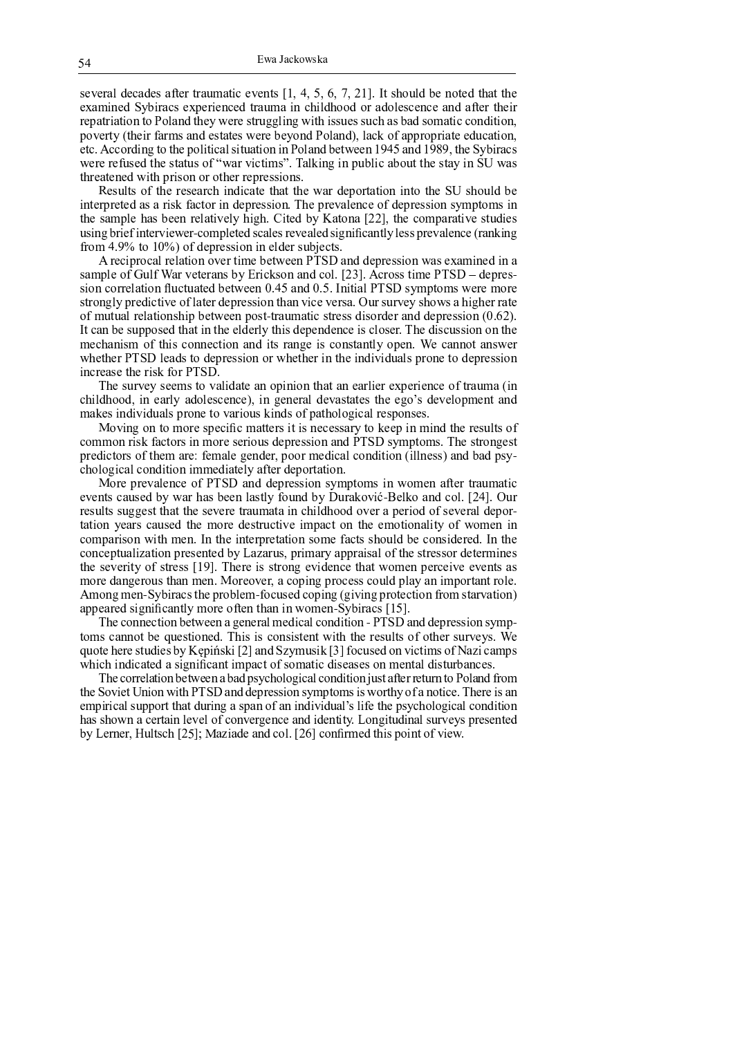several decades after traumatic events  $[1, 4, 5, 6, 7, 21]$ . It should be noted that the examined Sybiracs experienced trauma in childhood or adolescence and after their repatriation to Poland they were struggling with issues such as bad somatic condition, poverty (their farms and estates were beyond Poland), lack of appropriate education, etc. According to the political situation in Poland between 1945 and 1989, the Sybiracs were refused the status of "war victims". Talking in public about the stay in SU was threatened with prison or other repressions.

Results of the research indicate that the war deportation into the SU should be interpreted as a risk factor in depression. The prevalence of depression symptoms in the sample has been relatively high. Cited by Katona [22], the comparative studies using brief interviewer-completed scales revealed significantly less prevalence (ranking from 4.9% to  $10\%$ ) of depression in elder subjects.

A reciprocal relation over time between PTSD and depression was examined in a sample of Gulf War veterans by Erickson and col. [23]. Across time PTSD – depression correlation fluctuated between 0.45 and 0.5. Initial PTSD symptoms were more strongly predictive of later depression than vice versa. Our survey shows a higher rate of mutual relationship between post-traumatic stress disorder and depression  $(0.62)$ . It can be supposed that in the elderly this dependence is closer. The discussion on the mechanism of this connection and its range is constantly open. We cannot answer whether PTSD leads to depression or whether in the individuals prone to depression increase the risk for PTSD.

The survey seems to validate an opinion that an earlier experience of trauma (in childhood, in early adolescence), in general devastates the ego's development and makes individuals prone to various kinds of pathological responses.

Moving on to more specific matters it is necessary to keep in mind the results of common risk factors in more serious depression and PTSD symptoms. The strongest predictors of them are: female gender, poor medical condition (illness) and bad psychological condition immediately after deportation.

More prevalence of PTSD and depression symptoms in women after traumatic events caused by war has been lastly found by Duraković-Belko and col. [24]. Our results suggest that the severe traumata in childhood over a period of several deportation years caused the more destructive impact on the emotionality of women in comparison with men. In the interpretation some facts should be considered. In the conceptualization presented by Lazarus, primary appraisal of the stressor determines the severity of stress [19]. There is strong evidence that women perceive events as more dangerous than men. Moreover, a coping process could play an important role. Among men-Sybiracs the problem-focused coping (giving protection from starvation) appeared significantly more often than in women Sybiracs [15].

The connection between a general medical condition - PTSD and depression symptoms cannot be questioned. This is consistent with the results of other surveys. We quote here studies by Kepiński [2] and Szymusik [3] focused on victims of Nazi camps which indicated a significant impact of somatic diseases on mental disturbances.

The correlation between a bad psychological condition just after return to Poland from the Soviet Union with PTSD and depression symptoms is worthy of a notice. There is an empirical support that during a span of an individual's life the psychological condition has shown a certain level of convergence and identity. Longitudinal surveys presented by Lerner, Hultsch [25]; Maziade and col. [26] confirmed this point of view.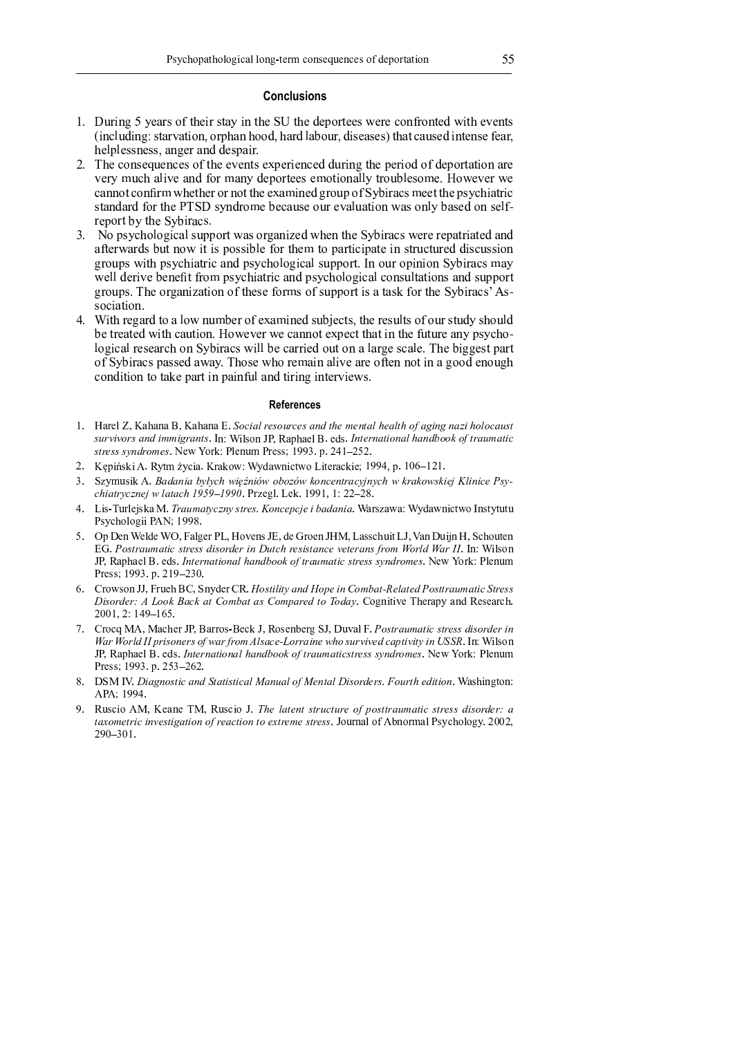### **Conclusions**

- d e f g h i j k N l m n h o p q r s m <sup>i</sup> <sup>h</sup> <sup>o</sup> <sup>r</sup> n l i j r s m t u r s m v m w <sup>p</sup> <sup>h</sup> <sup>r</sup> m m o x m <sup>h</sup> m y <sup>p</sup> <sup>j</sup> <sup>q</sup> <sup>h</sup> <sup>p</sup> <sup>j</sup> <sup>r</sup> m v <sup>x</sup> <sup>i</sup> <sup>r</sup> <sup>s</sup> m z m <sup>j</sup> <sup>r</sup> <sup>o</sup>  ${\cal U}$  in the set of the set of the set of the set of the set of the set of the set of the set of the set of the set of the set of the set of the set of the set of the set of the set of the set of the set of the set of th s m | w | m o o j m <sup>o</sup> <sup>o</sup> <sup>~</sup> n <sup>j</sup> <sup>k</sup> m <sup>h</sup> n <sup>j</sup> v v m <sup>o</sup> w n i h e
- e mat i van die stel van die stel ook die beskrywer ook die beskrywer waarde die beskrywer ook die beskrywer o z m <sup>h</sup> l <sup>g</sup> y <sup>s</sup> n | <sup>i</sup> z m n <sup>j</sup> v <sup>q</sup> <sup>p</sup> <sup>h</sup> n <sup>j</sup> l v m w <sup>p</sup> <sup>h</sup> <sup>r</sup> m m <sup>o</sup> m <sup>p</sup> <sup>r</sup> <sup>i</sup> <sup>p</sup> <sup>j</sup> n | | l <sup>r</sup> <sup>h</sup> <sup>p</sup> <sup>g</sup> | m <sup>o</sup> <sup>p</sup> m <sup>e</sup> <sup>p</sup> <sup>x</sup> m z m <sup>h</sup> <sup>x</sup> m y n <sup>j</sup> <sup>j</sup> <sup>p</sup> <sup>r</sup> y <sup>p</sup> <sup>j</sup> <sup>h</sup> <sup>x</sup> <sup>s</sup> m <sup>r</sup> <sup>s</sup> m <sup>h</sup> <sup>p</sup> <sup>h</sup> <sup>j</sup> <sup>p</sup> <sup>r</sup> <sup>r</sup> <sup>s</sup> m m n <sup>i</sup> <sup>j</sup> m v <sup>k</sup> <sup>h</sup> <sup>p</sup> <sup>g</sup> w <sup>p</sup> <sup>q</sup> t l <sup>i</sup> <sup>h</sup> n y <sup>o</sup> m m <sup>r</sup> <sup>r</sup> <sup>s</sup> m w <sup>o</sup> l y <sup>s</sup> <sup>i</sup> n <sup>r</sup> <sup>h</sup> <sup>i</sup> y t f o man i steadh ann an i steadh an i gconnair an i gconnair an i gconnair an i gconnair an i gconnair an i h m w p h r s i h r s i h r s i h r s i h r s i h r s i h r s i h r s i h r s i h r s i h r s i h r s i h r s
- e v n j i o grec v n j o grec v n j i n j o grec v n j i n j o grec v n j o grec v n j o grec v n j o grec v n n <sup>q</sup> <sup>r</sup> m <sup>h</sup> <sup>x</sup> n <sup>h</sup> v <sup>o</sup> <sup>g</sup> <sup>r</sup> <sup>j</sup> <sup>p</sup> <sup>x</sup> <sup>i</sup> <sup>r</sup> <sup>i</sup> <sup>o</sup> w <sup>p</sup> <sup>o</sup> <sup>o</sup> <sup>i</sup> | m <sup>q</sup> <sup>p</sup> <sup>h</sup> <sup>r</sup> <sup>s</sup> m <sup>r</sup> <sup>p</sup> w n <sup>h</sup> <sup>r</sup> <sup>i</sup> y <sup>i</sup> w n <sup>r</sup> m <sup>i</sup> <sup>j</sup> <sup>o</sup> <sup>r</sup> <sup>h</sup> <sup>g</sup> y <sup>r</sup> <sup>g</sup> <sup>h</sup> m v v <sup>i</sup> <sup>o</sup> y <sup>g</sup> <sup>o</sup> <sup>o</sup> <sup>i</sup> <sup>p</sup> <sup>j</sup> where we will be a strong where we will be a strong with the strong will be a strong with the strong with the strong with the strong with the strong with the strong with the strong with the strong with the strong with the x m | | v m <sup>h</sup> <sup>i</sup> z m m <sup>j</sup> m <sup>r</sup> <sup>q</sup> <sup>h</sup> <sup>p</sup> w <sup>o</sup> l y <sup>s</sup> <sup>i</sup> n <sup>r</sup> <sup>h</sup> <sup>i</sup> y n <sup>j</sup> v w <sup>o</sup> l y <sup>s</sup> <sup>p</sup> | <sup>p</sup> <sup>k</sup> <sup>i</sup> y n | y <sup>p</sup> <sup>j</sup> <sup>o</sup> <sup>g</sup> | <sup>r</sup> n <sup>r</sup> <sup>i</sup> <sup>p</sup> <sup>j</sup> <sup>o</sup> n <sup>j</sup> v <sup>o</sup> <sup>g</sup> w w <sup>p</sup> <sup>h</sup> <sup>r</sup> k h p g w o e s m <sup>p</sup> <sup>h</sup> <sup>k</sup> n <sup>j</sup> <sup>i</sup> n r i p j p q r s m <sup>o</sup> m <sup>q</sup> <sup>p</sup> <sup>h</sup> o p q o g w w <sup>p</sup> <sup>h</sup> <sup>r</sup> <sup>i</sup> <sup>o</sup> n <sup>r</sup> n o q p h r s m t l <sup>i</sup> <sup>h</sup> n y o o i na katika na katika na katika na katika na katika na katika na katika na katika na katika na katika na katik
- e i r s h m <sup>k</sup> n h v r p n | <sup>p</sup> <sup>x</sup> <sup>j</sup> <sup>g</sup> m h p q m n i j m v o g m y r o ~ r s m h m o g | r o p q p g h o r g v l o s p g | v m r a choichean an gheallacha an choichean an choichean an gheallacha an choichean an gheallacha an choichean i k matrix i matrix i matrix i matrix i matrix i matrix i matrix i matrix i matrix i matrix i matrix i matrix n a i m ji ji n ji n ji n y <sup>p</sup> <sup>j</sup> v <sup>i</sup> <sup>r</sup> <sup>i</sup> <sup>p</sup> <sup>j</sup> <sup>r</sup> <sup>p</sup> <sup>r</sup> n m w n <sup>h</sup> <sup>r</sup> <sup>i</sup> <sup>j</sup> w n <sup>i</sup> <sup>j</sup> <sup>q</sup> <sup>g</sup> | n <sup>j</sup> v <sup>r</sup> <sup>i</sup> <sup>h</sup> <sup>i</sup> <sup>j</sup> <sup>k</sup> <sup>i</sup> <sup>j</sup> <sup>r</sup> m <sup>h</sup> z <sup>i</sup> m <sup>x</sup> <sup>o</sup> <sup>e</sup>

#### **References**

- . It is the state soul in the fill of the state of  $\mathcal{P}$ ¤ ¥ ¢ ® ® ¢ ¤ ¦ § ª <sup>ª</sup> ¬ ¢ ¦ ¨ ¤ ¯ [ ° ± Z X P T [ ² O ³ V U S V ] X ] c P ´ ¦ ¨ £ ¢ ¦ ¨ ¦ ¡ © ¦ § µ ¶ « ¨ ¢ ¥ ª ¨ stress syndromes. New York: Plenum Press; 1993. p. 241-252.
- ¿ Ã U Z Ä P » Z Å ³ Q W \_ Æ Q R Z V ^ V » T ¹ ° ± Q c V ¹ [ Z R W ¹ T Ç Z W ] ^ V R » Z ] ¼ <sup>½</sup> <sup>½</sup> <sup>À</sup> U È É Á ¿
- <sup>¾</sup> <sup>Ê</sup> <sup>Ë</sup> Q \_ a P Z » Å Ì § ¦ µ · Í · © Î Ï Ð ¦ Ñ Î µ Ñ Î ¶ ¦ £ ¦ ¨ ¢ · Ò ¦ · © Î ¶ ¢ ¶ Î ¤ ¶ £ Ò Ó ¡ ¦ £ Ô ¤ · Õ  $\mathcal{P}$  . The concernsion of  $\mathcal{P}$  . The  $\mathcal{P}$
- <sup>À</sup> Ç Z P \ Ü a ^ X ] Ý P » V Þ <sup>ß</sup> ¢ ¥ <sup>ª</sup> ¨ · ¦ · ¤ ¨ ¢ £ ¤ <sup>à</sup> <sup>Ó</sup> ¦ £ <sup>á</sup> <sup>Ò</sup> £ <sup>µ</sup> § ¦ ± V ^ P <sup>Ë</sup> V ¹ V ° ± Q c V ¹ [ Z R W ¹ T ¯ [ P W Q W a W a O P Q R S T X T Y Z Z O Å ¸ ¼ <sup>½</sup> <sup>½</sup> <sup>Û</sup>
- ā arī unitural uz lī rada ultra latvīstu altra altra EG. Postraumatic stress disorder in Dutch resistance veterans from World War II. In: Wilson ² O ³ V U S V ] X ] c P ´ ¦ ¨ £ ¢ ¦ ¨ ¦ ¡ © ¦ § µ ¶ « ¨ ¢ ¥ ª ¨ ¤ ¨ ¢ £ ¤ ¤ ¤ · ¦ § ¢ ª £ ¤ ¸ ] ¹ º T ^ » ° O X ] [ a \_ Press: 1993. p. 219-230.
- 6. Crowson JJ, Frueh BC, Snyder CR. Hostility and Hope in Combat-Related Posttraumatic Stress P I INIA À LA BIANIA E CHAIL  $2001, 2: 149 - 165$
- ñ ê ^ T R ` Þ Å Þ V R S ] ^ ² O V ^ ^ T P \ ] R » ² ³ T P ] [ ò ] ^ Y <sup>Ê</sup> ² ã a å V X ä Ô ¤ ¨ ¢ ¥ ª ¨ ¤ ¨ ¢ £ ¤ ¤ § ¤ ¢ § £ ¢ ¦ War World II prisoners of war from Alsace-Lorraine who survived captivity in USSR. In: Wilson أن التركيب التركيب التركيب التركيب التركيب التركيب التركيب التركيب التركيب التركيب التركيب التركيب التركيب ال O ^ ] P P ¼ <sup>½</sup> <sup>½</sup> <sup>¾</sup> U ¿ Â ¾ Á ¿ É ¿
- ê Dêlimir e jê ji lalî de ji din de ji la APA; 1994.
- <sup>½</sup> ³ a P R Z T Å Þ ] V [ ] Ü Þ ³ a P R Z T ² ß © £ ¡ ¨ £ ¦ ¨ ¤ ¨ ¢ ¥ ¨ ¥ ¢ £ « á ¤ ¨ ¨ ¢ ¥ ª ¨ ¤ ¨ ¢ £ ¤ ¤ § ¤ ¢ § £ ¢ î ¨ <sup>ö</sup> <sup>ª</sup> £ ¨ ¢ ¦ ® £ ¤ ¨ ¬ ¨ ¦ « ¢ £ ¨ ¦ ¨ £ <sup>ö</sup> ¨ ¢ £ <sup>ª</sup> £ ¤ ¨ ¢ £ ¤ ¤ ² T a ^ [ V X T b Å ò [ T ^ \_ V X O P Q R S T X T Y Q ¿ <sup>È</sup> <sup>È</sup> ¿  $290 - 301$ .